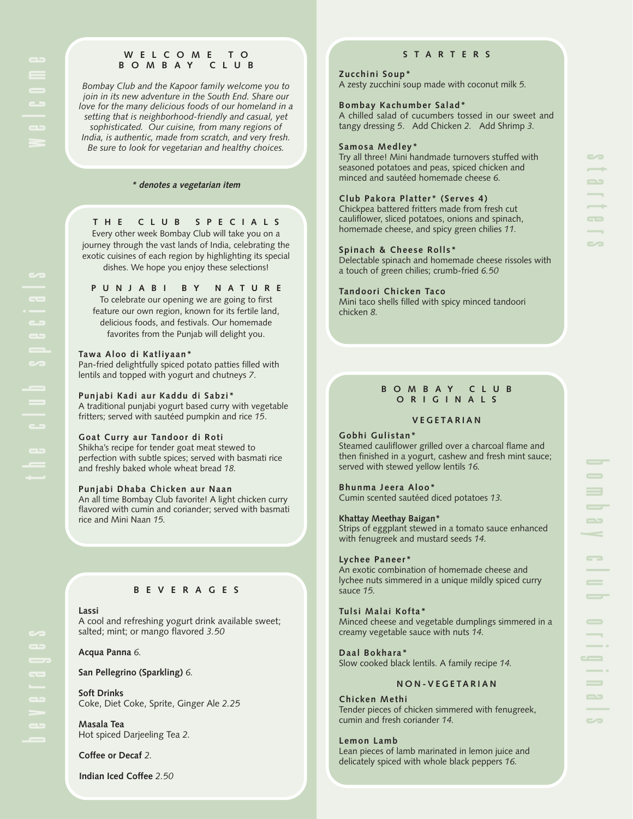# **WELCOME TO BOMBAY CLUB**

*Bombay Club and the Kapoor family welcome you to join in its new adventure in the South End. Share our love for the many delicious foods of our homeland in a setting that is neighborhood-friendly and casual, yet sophisticated. Our cuisine, from many regions of India, is authentic, made from scratch, and very fresh. Be sure to look for vegetarian and healthy choices.* 

# **\* denotes a vegetarian item**

# **THE CLUB SPECIALS**

Every other week Bombay Club will take you on a journey through the vast lands of India, celebrating the exotic cuisines of each region by highlighting its special dishes. We hope you enjoy these selections!

**PUNJABI BY NATURE**

To celebrate our opening we are going to first feature our own region, known for its fertile land, delicious foods, and festivals. Our homemade favorites from the Punjab will delight you.

# **Tawa Aloo di Katliyaan\***

Pan-fried delightfully spiced potato patties filled with lentils and topped with yogurt and chutneys *7*.

# **Punjabi Kadi aur Kaddu di Sabzi\***

A traditional punjabi yogurt based curry with vegetable fritters; served with sautéed pumpkin and rice *15*.

# **Goat Curry aur Tandoor di Roti**

Shikha's recipe for tender goat meat stewed to perfection with subtle spices; served with basmati rice and freshly baked whole wheat bread *18.*

## **Punjabi Dhaba Chicken aur Naan**

An all time Bombay Club favorite! A light chicken curry flavored with cumin and coriander; served with basmati rice and Mini Naan *15.*

# **BEVERAGES**

# **Lassi**

A cool and refreshing yogurt drink available sweet; salted; mint; or mango flavored *3.50*

# **Acqua Panna** *6.*

**San Pellegrino (Sparkling)** *6.*

**Soft Drinks**  Coke, Diet Coke, Sprite, Ginger Ale *2.25*

**Masala Tea**  Hot spiced Darjeeling Tea *2.*

**Coffee or Decaf** *2.*

**Indian Iced Coffee** *2.50*

# **STARTERS**

# **Zucchini Soup\***

A zesty zucchini soup made with coconut milk *5.*

#### **Bombay Kachumber Salad\***

A chilled salad of cucumbers tossed in our sweet and tangy dressing *5*. Add Chicken *2.* Add Shrimp *3.*

## **Samosa Medley\***

Try all three! Mini handmade turnovers stuffed with seasoned potatoes and peas, spiced chicken and minced and sautéed homemade cheese *6.*

# **Club Pakora Platter\* (Serves 4)**

Chickpea battered fritters made from fresh cut cauliflower, sliced potatoes, onions and spinach, homemade cheese, and spicy green chilies *11.*

## **Spinach & Cheese Rolls\***

Delectable spinach and homemade cheese rissoles with a touch of green chilies; crumb-fried *6.50*

#### **Tandoori Chicken Taco**

Mini taco shells filled with spicy minced tandoori chicken *8.*

# **BOMBAY CLUB ORIGINALS**

## **VEGETARIAN**

# **Gobhi Gulistan\***

Steamed cauliflower grilled over a charcoal flame and then finished in a yogurt, cashew and fresh mint sauce; served with stewed yellow lentils *16.*

#### **Bhunma Jeera Aloo\***

Cumin scented sautéed diced potatoes *13.*

## **Khattay Meethay Baigan\***

Strips of eggplant stewed in a tomato sauce enhanced with fenugreek and mustard seeds *14.*

#### **Lychee Paneer\***

An exotic combination of homemade cheese and lychee nuts simmered in a unique mildly spiced curry sauce *15.*

## **Tulsi Malai Kofta\***

Minced cheese and vegetable dumplings simmered in a creamy vegetable sauce with nuts *14.*

# **Daal Bokhara\***

Slow cooked black lentils. A family recipe *14.*

# **NON-VEGETARIAN**

**Chicken Methi** Tender pieces of chicken simmered with fenugreek, cumin and fresh coriander *14.*

**Lemon Lamb**

Lean pieces of lamb marinated in lemon juice and delicately spiced with whole black peppers *16.*

 $\equiv$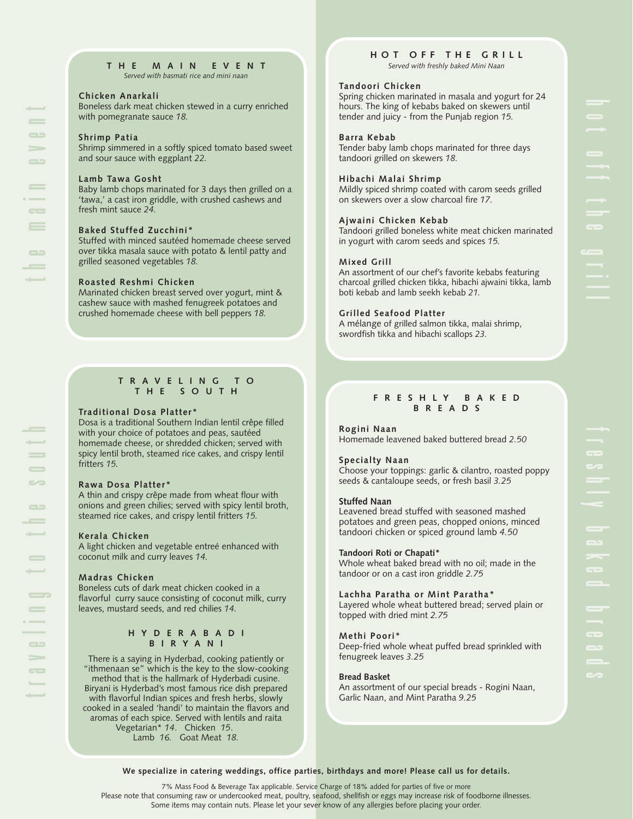**THE MAIN EVENT** *Served with basmati rice and mini naan*

# **Chicken Anarkali**

Boneless dark meat chicken stewed in a curry enriched with pomegranate sauce *18.*

# **Shrimp Patia**

the main event

 $\overline{\phantom{a}}$  $=$ 

 $\equiv$ 

 $\overline{\phantom{0}}$ 

 $\equiv$  $\Rightarrow$  $\sim$  $\Rightarrow$ 

traveling to the south

 $\overline{\phantom{0}}$  $\equiv$ 

> $\equiv$  $\equiv$  $\overline{\phantom{0}}$

 $\qquad \qquad \qquad \qquad \blacksquare$ 

 $\equiv$  $\equiv$  $\rightarrow$ 

 $\equiv$ 

Shrimp simmered in a softly spiced tomato based sweet and sour sauce with eggplant *22.*

# **Lamb Tawa Gosht**

Baby lamb chops marinated for 3 days then grilled on a 'tawa,' a cast iron griddle, with crushed cashews and fresh mint sauce *24.*

# **Baked Stuffed Zucchini\***

Stuffed with minced sautéed homemade cheese served over tikka masala sauce with potato & lentil patty and grilled seasoned vegetables *18.*

# **Roasted Reshmi Chicken**

Marinated chicken breast served over yogurt, mint & cashew sauce with mashed fenugreek potatoes and crushed homemade cheese with bell peppers *18.*

# **TRAVELING TO THE SOUTH**

# **Traditional Dosa Platter\***

Dosa is a traditional Southern Indian lentil crêpe filled with your choice of potatoes and peas, sautéed homemade cheese, or shredded chicken; served with spicy lentil broth, steamed rice cakes, and crispy lentil fritters *15.*

# **Rawa Dosa Platter\***

A thin and crispy crêpe made from wheat flour with onions and green chilies; served with spicy lentil broth, steamed rice cakes, and crispy lentil fritters *15.*

# **Kerala Chicken**

A light chicken and vegetable entreé enhanced with coconut milk and curry leaves *14.*

# **Madras Chicken**

Boneless cuts of dark meat chicken cooked in a flavorful curry sauce consisting of coconut milk, curry leaves, mustard seeds, and red chilies *14.*

# **HYDERABADI BIRYANI**

There is a saying in Hyderbad, cooking patiently or "ithmenaan se" which is the key to the slow-cooking method that is the hallmark of Hyderbadi cusine. Biryani is Hyderbad's most famous rice dish prepared with flavorful Indian spices and fresh herbs, slowly cooked in a sealed 'handi' to maintain the flavors and aromas of each spice. Served with lentils and raita Vegetarian\* *14*. Chicken *15*. Lamb *16.* Goat Meat *18.*

## **HOT OFF THE GRILL** *Served with freshly baked Mini Naan*

# **Tandoori Chicken**

Spring chicken marinated in masala and yogurt for 24 hours. The king of kebabs baked on skewers until tender and juicy - from the Punjab region *15.*

# **Barra Kebab**

Tender baby lamb chops marinated for three days tandoori grilled on skewers *18.*

# **Hibachi Malai Shrimp**

Mildly spiced shrimp coated with carom seeds grilled on skewers over a slow charcoal fire *17.*

# **Ajwaini Chicken Kebab**

Tandoori grilled boneless white meat chicken marinated in yogurt with carom seeds and spices *15.*

## **Mixed Grill**

An assortment of our chef's favorite kebabs featuring charcoal grilled chicken tikka, hibachi ajwaini tikka, lamb boti kebab and lamb seekh kebab *21.*

# **Grilled Seafood Platter**

A mélange of grilled salmon tikka, malai shrimp, swordfish tikka and hibachi scallops *23.*

# **FRESHLY BAKED BREADS**

## **Rogini Naan**

Homemade leavened baked buttered bread *2.50*

## **Specialty Naan**

Choose your toppings: garlic & cilantro, roasted poppy seeds & cantaloupe seeds, or fresh basil *3.25*

## **Stuffed Naan**

Leavened bread stuffed with seasoned mashed potatoes and green peas, chopped onions, minced tandoori chicken or spiced ground lamb *4.50*

## **Tandoori Roti or Chapati\***

Whole wheat baked bread with no oil; made in the tandoor or on a cast iron griddle *2.75*

## **Lachha Paratha or Mint Paratha\***

Layered whole wheat buttered bread; served plain or topped with dried mint *2.75*

# **Methi Poori\***

Deep-fried whole wheat puffed bread sprinkled with fenugreek leaves *3.25*

## **Bread Basket**

An assortment of our special breads - Rogini Naan, Garlic Naan, and Mint Paratha *9.25*

## **We specialize in catering weddings, office parties, birthdays and more! Please call us for details.**

7% Mass Food & Beverage Tax applicable. Service Charge of 18% added for parties of five or more Please note that consuming raw or undercooked meat, poultry, seafood, shellfish or eggs may increase risk of foodborne illnesses. Some items may contain nuts. Please let your sever know of any allergies before placing your order.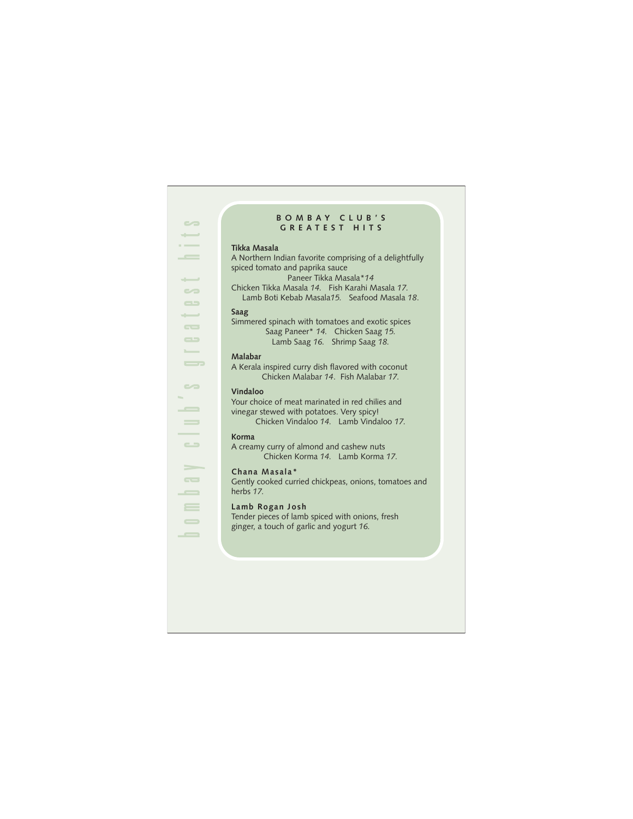# **BOMBAY CLUB'S GREATEST HITS**

#### **Tikka Masala**

A Northern Indian favorite comprising of a delightfully spiced tomato and paprika sauce Paneer Tikka Masala\**14*  Chicken Tikka Masala *14.* Fish Karahi Masala *17.*

Lamb Boti Kebab Masala*15.* Seafood Masala *18*.

# **Saag**

Simmered spinach with tomatoes and exotic spices Saag Paneer\* *14.* Chicken Saag *15.* Lamb Saag *16.* Shrimp Saag *18.*

#### **Malabar**

A Kerala inspired curry dish flavored with coconut Chicken Malabar *14*. Fish Malabar *17.*

## **Vindaloo**

bombay club's greatest hits

 $\sim$ 

 $\equiv$  $\qquad \qquad =$ 

 $\rightarrow$ 

 $\Rightarrow$  $\overline{\phantom{a}}$  $\overline{\phantom{0}}$  $=$  $\qquad \qquad \blacksquare$  $\overline{\phantom{0}}$ 

 $\sim$  $\overline{\phantom{a}}$  $\overline{\phantom{m}}$ 

سب  $\sim$  $\qquad \qquad \qquad \blacksquare$ سنب  $\overline{\phantom{a}}$  $\Rightarrow$  $\overline{\phantom{a}}$  $\overline{\phantom{a}}$ 

> Your choice of meat marinated in red chilies and vinegar stewed with potatoes. Very spicy! Chicken Vindaloo *14.* Lamb Vindaloo *17.*

#### **Korma**

A creamy curry of almond and cashew nuts Chicken Korma *14.* Lamb Korma *17.*

#### **Chana Masala\***

Gently cooked curried chickpeas, onions, tomatoes and herbs *17.*

# **Lamb Rogan Josh**

Tender pieces of lamb spiced with onions, fresh ginger, a touch of garlic and yogurt *16.*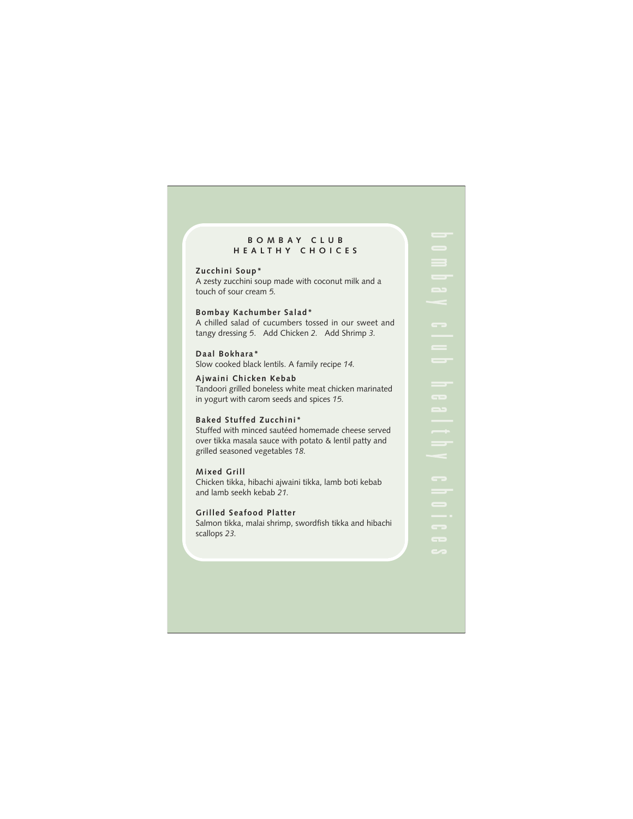#### **BOMBAY CLUB HEALTHY CHOICES**

**Zucchini Soup\***

A zesty zucchini soup made with coconut milk and a touch of sour cream *5.*

**Bombay Kachumber Salad\*** A chilled salad of cucumbers tossed in our sweet and tangy dressing *5*. Add Chicken *2.* Add Shrimp *3.*

**Daal Bokhara\*** Slow cooked black lentils. A family recipe *14.*

**Ajwaini Chicken Kebab** Tandoori grilled boneless white meat chicken marinated in yogurt with carom seeds and spices *15.*

# **Baked Stuffed Zucchini\***

Stuffed with minced sautéed homemade cheese served over tikka masala sauce with potato & lentil patty and grilled seasoned vegetables *18.*

**Mixed Grill**

Chicken tikka, hibachi ajwaini tikka, lamb boti kebab and lamb seekh kebab *21.*

**Grilled Seafood Platter**

Salmon tikka, malai shrimp, swordfish tikka and hibachi scallops *23.*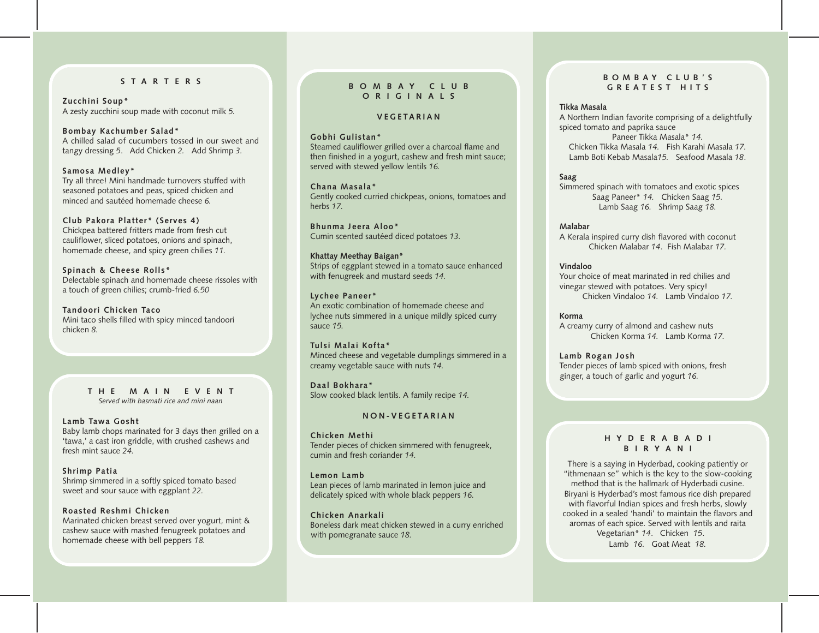# **STARTERS**

**Zucchini Soup\*** A zesty zucchini soup made with coconut milk *5.*

#### **Bombay Kachumber Salad\***

A chilled salad of cucumbers tossed in our sweet and tangy dressing *5*. Add Chicken *2.* Add Shrimp *3.*

**Samosa Medley\*** Try all three! Mini handmade turnovers stuffed with seasoned potatoes and peas, spiced chicken and minced and sautéed homemade cheese *6.*

# **Club Pakora Platter\* (Serves 4)**

Chickpea battered fritters made from fresh cut cauliflower, sliced potatoes, onions and spinach, homemade cheese, and spicy green chilies *11.*

# **Spinach & Cheese Rolls\***

Delectable spinach and homemade cheese rissoles with a touch of green chilies; crumb-fried *6.50*

**Tandoori Chicken Taco** Mini taco shells filled with spicy minced tandoori chicken *8.*

#### **THE MAIN EVENT** *Served with basmati rice and mini naan*

#### **Lamb Tawa Gosht**

Baby lamb chops marinated for 3 days then grilled on a 'tawa,' a cast iron griddle, with crushed cashews and fresh mint sauce *24.*

#### **Shrimp Patia**

Shrimp simmered in a softly spiced tomato based sweet and sour sauce with eggplant *22.*

#### **Roasted Reshmi Chicken**

Marinated chicken breast served over yogurt, mint & cashew sauce with mashed fenugreek potatoes and homemade cheese with bell peppers *18.*

#### **BOMBAY CLUB ORIGINALS**

#### **VEGETARIAN**

#### **Gobhi Gulistan\***

Steamed cauliflower grilled over a charcoal flame and then finished in a yogurt, cashew and fresh mint sauce; served with stewed yellow lentils *16.*

**Chana Masala\*** Gently cooked curried chickpeas, onions, tomatoes and herbs *17.*

**Bhunma Jeera Aloo\*** Cumin scented sautéed diced potatoes *13.*

#### **Khattay Meethay Baigan\*** Strips of eggplant stewed in a tomato sauce enhanced with fenugreek and mustard seeds *14.*

#### **Lychee Paneer\***

An exotic combination of homemade cheese and lychee nuts simmered in a unique mildly spiced curry sauce *15.*

#### **Tulsi Malai Kofta\*** Minced cheese and vegetable dumplings simmered in a creamy vegetable sauce with nuts *14.*

**Daal Bokhara\*** Slow cooked black lentils. A family recipe *14.*

## **NON-VEGETARIAN**

# **Chicken Methi**

Tender pieces of chicken simmered with fenugreek, cumin and fresh coriander *14.*

#### **Lemon Lamb**

Lean pieces of lamb marinated in lemon juice and delicately spiced with whole black peppers *16.*

#### **Chicken Anarkali**

Boneless dark meat chicken stewed in a curry enriched with pomegranate sauce *18.*

#### **BOMBAY CLUB'S GREATEST HITS**

#### **Tikka Masala**

A Northern Indian favorite comprising of a delightfully spiced tomato and paprika sauce Paneer Tikka Masala\* *14.* Chicken Tikka Masala *14.* Fish Karahi Masala *17.* Lamb Boti Kebab Masala*15.* Seafood Masala *18*.

#### **Saag**

Simmered spinach with tomatoes and exotic spices Saag Paneer\* *14.* Chicken Saag *15.* Lamb Saag *16.* Shrimp Saag *18.*

# **Malabar**

A Kerala inspired curry dish flavored with coconut Chicken Malabar *14*. Fish Malabar *17.*

#### **Vindaloo**

Your choice of meat marinated in red chilies and vinegar stewed with potatoes. Very spicy! Chicken Vindaloo *14.* Lamb Vindaloo *17.*

#### **Korma**

A creamy curry of almond and cashew nuts Chicken Korma *14.* Lamb Korma *17.*

**Lamb Rogan Josh** Tender pieces of lamb spiced with onions, fresh ginger, a touch of garlic and yogurt *16.*

#### **HYDERABADI BIRYANI**

There is a saying in Hyderbad, cooking patiently or "ithmenaan se" which is the key to the slow-cooking method that is the hallmark of Hyderbadi cusine. Biryani is Hyderbad's most famous rice dish prepared with flavorful Indian spices and fresh herbs, slowly cooked in a sealed 'handi' to maintain the flavors and aromas of each spice. Served with lentils and raita Vegetarian\* *14*. Chicken *15*. Lamb *16.* Goat Meat *18.*